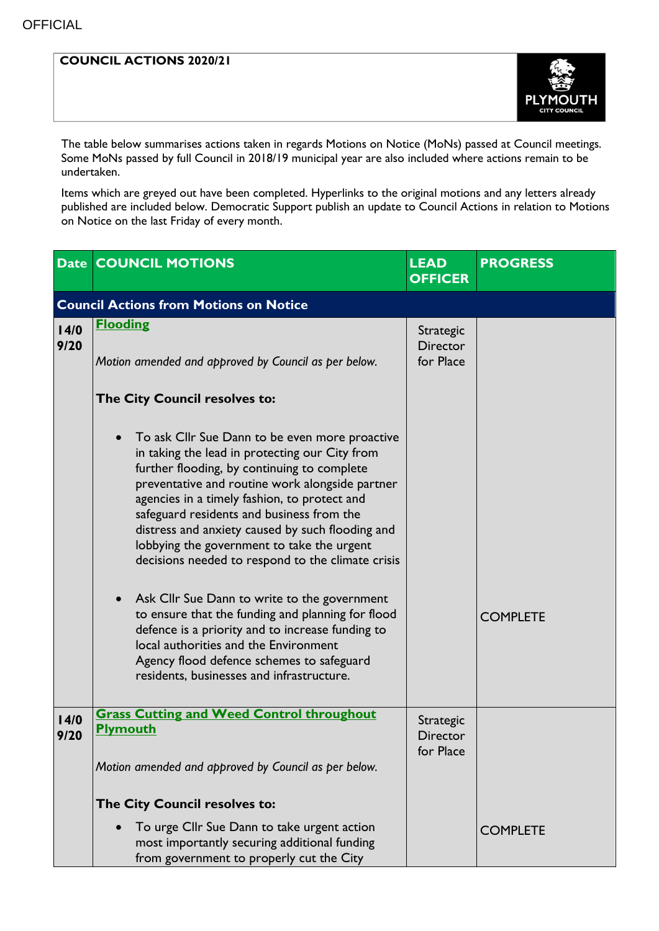## **COUNCIL ACTIONS 2020/21**



The table below summarises actions taken in regards Motions on Notice (MoNs) passed at Council meetings. Some MoNs passed by full Council in 2018/19 municipal year are also included where actions remain to be undertaken.

Items which are greyed out have been completed. Hyperlinks to the original motions and any letters already published are included below. Democratic Support publish an update to Council Actions in relation to Motions on Notice on the last Friday of every month.

|                                               | <b>Date COUNCIL MOTIONS</b>                                                                                                                                                                                                                                                                                                                                                                                                                                                                            | <b>LEAD</b><br><b>OFFICER</b>                    | <b>PROGRESS</b> |  |  |  |
|-----------------------------------------------|--------------------------------------------------------------------------------------------------------------------------------------------------------------------------------------------------------------------------------------------------------------------------------------------------------------------------------------------------------------------------------------------------------------------------------------------------------------------------------------------------------|--------------------------------------------------|-----------------|--|--|--|
| <b>Council Actions from Motions on Notice</b> |                                                                                                                                                                                                                                                                                                                                                                                                                                                                                                        |                                                  |                 |  |  |  |
| 14/0<br>9/20                                  | <b>Flooding</b><br>Motion amended and approved by Council as per below.                                                                                                                                                                                                                                                                                                                                                                                                                                | Strategic<br><b>Director</b><br>for Place        |                 |  |  |  |
|                                               | The City Council resolves to:                                                                                                                                                                                                                                                                                                                                                                                                                                                                          |                                                  |                 |  |  |  |
|                                               | To ask Cllr Sue Dann to be even more proactive<br>in taking the lead in protecting our City from<br>further flooding, by continuing to complete<br>preventative and routine work alongside partner<br>agencies in a timely fashion, to protect and<br>safeguard residents and business from the<br>distress and anxiety caused by such flooding and<br>lobbying the government to take the urgent<br>decisions needed to respond to the climate crisis<br>Ask Cllr Sue Dann to write to the government |                                                  |                 |  |  |  |
|                                               | to ensure that the funding and planning for flood<br>defence is a priority and to increase funding to<br>local authorities and the Environment<br>Agency flood defence schemes to safeguard<br>residents, businesses and infrastructure.                                                                                                                                                                                                                                                               |                                                  | <b>COMPLETE</b> |  |  |  |
| 14/0<br>9/20                                  | <b>Grass Cutting and Weed Control throughout</b><br>Plymouth<br>Motion amended and approved by Council as per below.                                                                                                                                                                                                                                                                                                                                                                                   | <b>Strategic</b><br><b>Director</b><br>for Place |                 |  |  |  |
|                                               | The City Council resolves to:<br>To urge Cllr Sue Dann to take urgent action<br>$\bullet$<br>most importantly securing additional funding<br>from government to properly cut the City                                                                                                                                                                                                                                                                                                                  |                                                  | <b>COMPLETE</b> |  |  |  |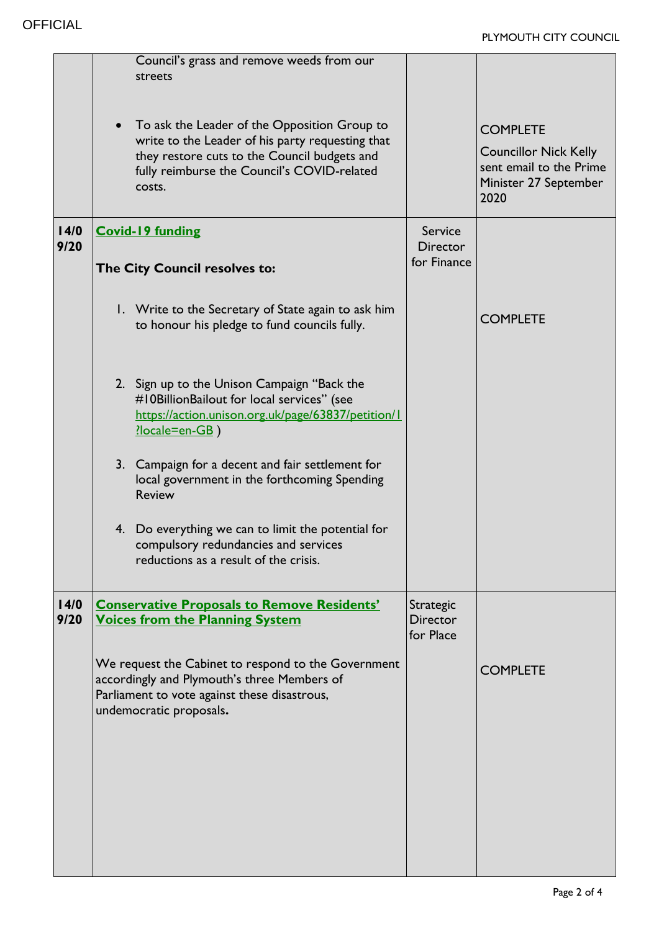|              | Council's grass and remove weeds from our<br>streets                                                                                                                                                      |                                           |                                                                                                             |
|--------------|-----------------------------------------------------------------------------------------------------------------------------------------------------------------------------------------------------------|-------------------------------------------|-------------------------------------------------------------------------------------------------------------|
|              | To ask the Leader of the Opposition Group to<br>write to the Leader of his party requesting that<br>they restore cuts to the Council budgets and<br>fully reimburse the Council's COVID-related<br>costs. |                                           | <b>COMPLETE</b><br><b>Councillor Nick Kelly</b><br>sent email to the Prime<br>Minister 27 September<br>2020 |
| 14/0<br>9/20 | <b>Covid-19 funding</b>                                                                                                                                                                                   | Service<br><b>Director</b><br>for Finance |                                                                                                             |
|              | The City Council resolves to:                                                                                                                                                                             |                                           |                                                                                                             |
|              | I. Write to the Secretary of State again to ask him<br>to honour his pledge to fund councils fully.                                                                                                       |                                           | <b>COMPLETE</b>                                                                                             |
|              | 2. Sign up to the Unison Campaign "Back the<br>#10BillionBailout for local services" (see<br>https://action.unison.org.uk/page/63837/petition/1<br>?locale=en-GB)                                         |                                           |                                                                                                             |
|              | 3. Campaign for a decent and fair settlement for<br>local government in the forthcoming Spending<br><b>Review</b>                                                                                         |                                           |                                                                                                             |
|              | 4. Do everything we can to limit the potential for<br>compulsory redundancies and services<br>reductions as a result of the crisis.                                                                       |                                           |                                                                                                             |
| 14/0<br>9/20 | <b>Conservative Proposals to Remove Residents'</b><br><b>Voices from the Planning System</b>                                                                                                              | Strategic<br><b>Director</b><br>for Place |                                                                                                             |
|              | We request the Cabinet to respond to the Government<br>accordingly and Plymouth's three Members of<br>Parliament to vote against these disastrous,<br>undemocratic proposals.                             |                                           | <b>COMPLETE</b>                                                                                             |
|              |                                                                                                                                                                                                           |                                           |                                                                                                             |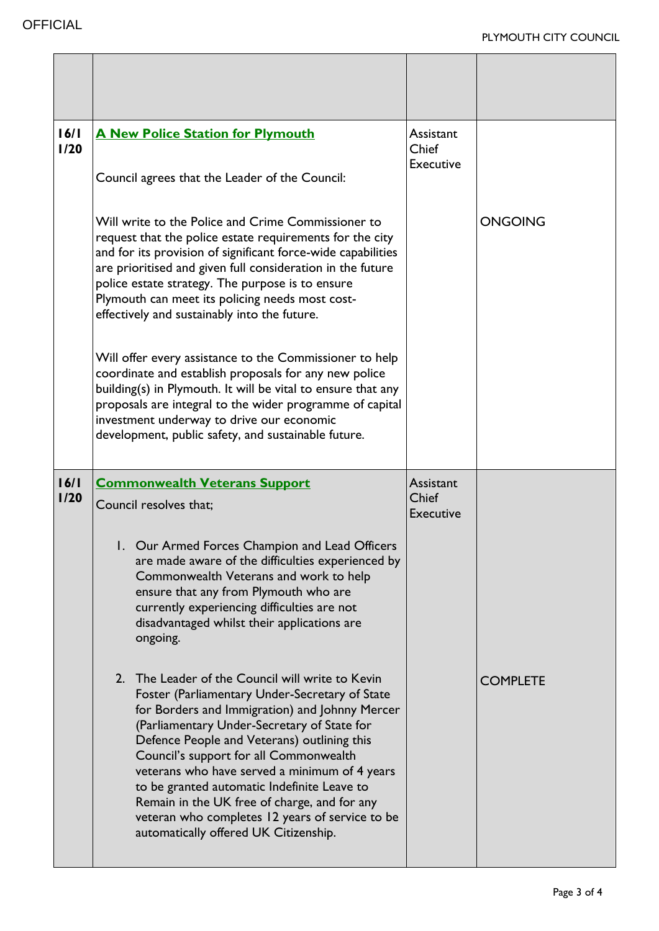| 16/1<br>1/20 | <b>A New Police Station for Plymouth</b><br>Council agrees that the Leader of the Council:                                                                                                                                                                                                                                                                                                          | Assistant<br>Chief<br><b>Executive</b> |                |
|--------------|-----------------------------------------------------------------------------------------------------------------------------------------------------------------------------------------------------------------------------------------------------------------------------------------------------------------------------------------------------------------------------------------------------|----------------------------------------|----------------|
|              | Will write to the Police and Crime Commissioner to<br>request that the police estate requirements for the city<br>and for its provision of significant force-wide capabilities<br>are prioritised and given full consideration in the future<br>police estate strategy. The purpose is to ensure<br>Plymouth can meet its policing needs most cost-<br>effectively and sustainably into the future. |                                        | <b>ONGOING</b> |
|              | Will offer every assistance to the Commissioner to help<br>coordinate and establish proposals for any new police<br>building(s) in Plymouth. It will be vital to ensure that any<br>proposals are integral to the wider programme of capital<br>investment underway to drive our economic<br>development, public safety, and sustainable future.                                                    |                                        |                |
| 16/1<br>1/20 | <b>Commonwealth Veterans Support</b>                                                                                                                                                                                                                                                                                                                                                                | Assistant                              |                |
|              | Council resolves that:                                                                                                                                                                                                                                                                                                                                                                              | Chief<br><b>Executive</b>              |                |
|              | 1. Our Armed Forces Champion and Lead Officers<br>are made aware of the difficulties experienced by<br>Commonwealth Veterans and work to help<br>ensure that any from Plymouth who are<br>currently experiencing difficulties are not<br>disadvantaged whilst their applications are<br>ongoing.                                                                                                    |                                        |                |